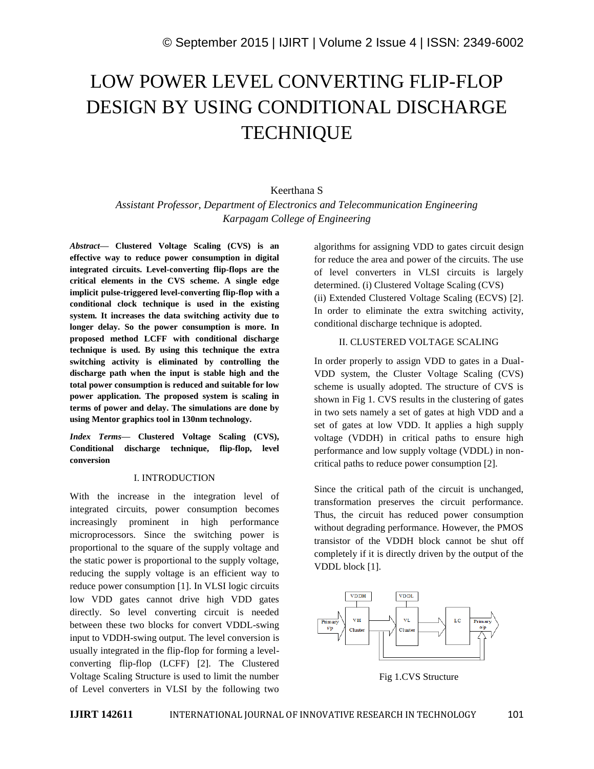# LOW POWER LEVEL CONVERTING FLIP-FLOP DESIGN BY USING CONDITIONAL DISCHARGE **TECHNIQUE**

# Keerthana S

*Assistant Professor, Department of Electronics and Telecommunication Engineering Karpagam College of Engineering*

*Abstract—* **Clustered Voltage Scaling (CVS) is an effective way to reduce power consumption in digital integrated circuits. Level-converting flip-flops are the critical elements in the CVS scheme. A single edge implicit pulse-triggered level-converting flip-flop with a conditional clock technique is used in the existing system. It increases the data switching activity due to longer delay. So the power consumption is more. In proposed method LCFF with conditional discharge technique is used. By using this technique the extra switching activity is eliminated by controlling the discharge path when the input is stable high and the total power consumption is reduced and suitable for low power application. The proposed system is scaling in terms of power and delay. The simulations are done by using Mentor graphics tool in 130nm technology.**

*Index Terms—* **Clustered Voltage Scaling (CVS), Conditional discharge technique, flip-flop, level conversion**

#### I. INTRODUCTION

With the increase in the integration level of integrated circuits, power consumption becomes increasingly prominent in high performance microprocessors. Since the switching power is proportional to the square of the supply voltage and the static power is proportional to the supply voltage, reducing the supply voltage is an efficient way to reduce power consumption [1]. In VLSI logic circuits low VDD gates cannot drive high VDD gates directly. So level converting circuit is needed between these two blocks for convert VDDL-swing input to VDDH-swing output. The level conversion is usually integrated in the flip-flop for forming a levelconverting flip-flop (LCFF) [2]. The Clustered Voltage Scaling Structure is used to limit the number of Level converters in VLSI by the following two

algorithms for assigning VDD to gates circuit design for reduce the area and power of the circuits. The use of level converters in VLSI circuits is largely determined. (i) Clustered Voltage Scaling (CVS) (ii) Extended Clustered Voltage Scaling (ECVS) [2]. In order to eliminate the extra switching activity, conditional discharge technique is adopted.

# II. CLUSTERED VOLTAGE SCALING

In order properly to assign VDD to gates in a Dual-VDD system, the Cluster Voltage Scaling (CVS) scheme is usually adopted. The structure of CVS is shown in Fig 1. CVS results in the clustering of gates in two sets namely a set of gates at high VDD and a set of gates at low VDD. It applies a high supply voltage (VDDH) in critical paths to ensure high performance and low supply voltage (VDDL) in noncritical paths to reduce power consumption [2].

Since the critical path of the circuit is unchanged, transformation preserves the circuit performance. Thus, the circuit has reduced power consumption without degrading performance. However, the PMOS transistor of the VDDH block cannot be shut off completely if it is directly driven by the output of the VDDL block [1].



Fig 1.CVS Structure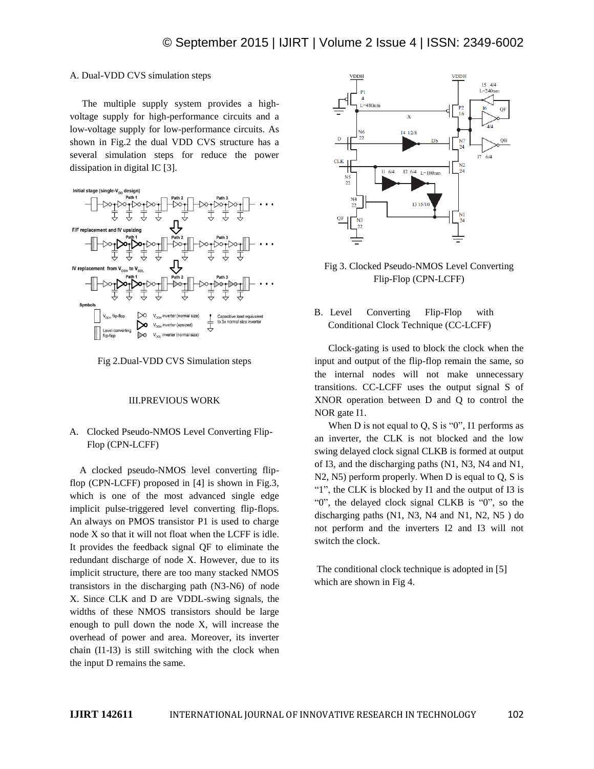#### A. Dual-VDD CVS simulation steps

 The multiple supply system provides a highvoltage supply for high-performance circuits and a low-voltage supply for low-performance circuits. As shown in Fig.2 the dual VDD CVS structure has a several simulation steps for reduce the power dissipation in digital IC [3].





#### III.PREVIOUS WORK

## A. Clocked Pseudo-NMOS Level Converting Flip-Flop (CPN-LCFF)

A clocked pseudo-NMOS level converting flipflop (CPN-LCFF) proposed in [4] is shown in Fig.3, which is one of the most advanced single edge implicit pulse-triggered level converting flip-flops. An always on PMOS transistor P1 is used to charge node X so that it will not float when the LCFF is idle. It provides the feedback signal QF to eliminate the redundant discharge of node X. However, due to its implicit structure, there are too many stacked NMOS transistors in the discharging path (N3-N6) of node X. Since CLK and D are VDDL-swing signals, the widths of these NMOS transistors should be large enough to pull down the node X, will increase the overhead of power and area. Moreover, its inverter chain (I1-I3) is still switching with the clock when the input D remains the same.



Fig 3. Clocked Pseudo-NMOS Level Converting Flip-Flop (CPN-LCFF)

### B. Level Converting Flip-Flop with Conditional Clock Technique (CC-LCFF)

Clock-gating is used to block the clock when the input and output of the flip-flop remain the same, so the internal nodes will not make unnecessary transitions. CC-LCFF uses the output signal S of XNOR operation between D and Q to control the NOR gate I1.

When D is not equal to Q, S is " $0$ ", I1 performs as an inverter, the CLK is not blocked and the low swing delayed clock signal CLKB is formed at output of I3, and the discharging paths (N1, N3, N4 and N1, N2, N5) perform properly. When D is equal to Q, S is "1", the CLK is blocked by I1 and the output of I3 is "0", the delayed clock signal CLKB is "0", so the discharging paths (N1, N3, N4 and N1, N2, N5 ) do not perform and the inverters I2 and I3 will not switch the clock.

The conditional clock technique is adopted in [5] which are shown in Fig 4.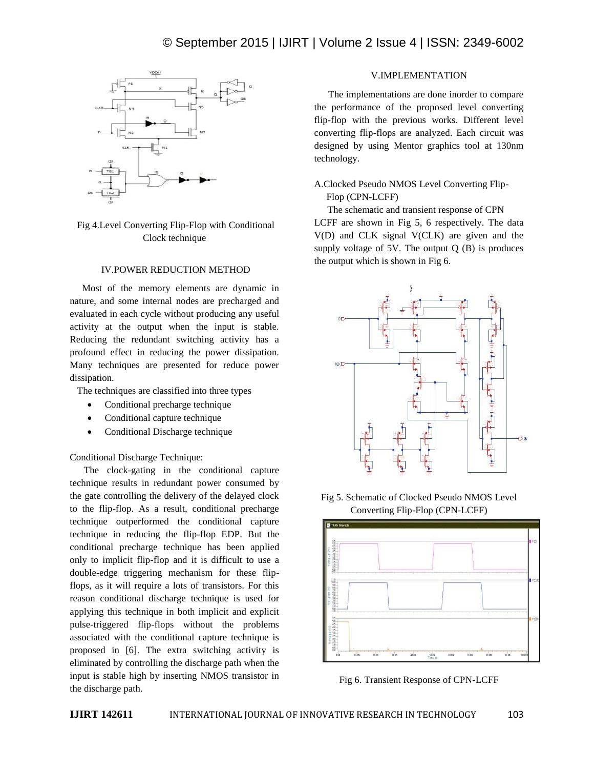

Fig 4.Level Converting Flip-Flop with Conditional Clock technique

#### IV.POWER REDUCTION METHOD

 Most of the memory elements are dynamic in nature, and some internal nodes are precharged and evaluated in each cycle without producing any useful activity at the output when the input is stable. Reducing the redundant switching activity has a profound effect in reducing the power dissipation. Many techniques are presented for reduce power dissipation.

The techniques are classified into three types

- Conditional precharge technique
- Conditional capture technique
- Conditional Discharge technique

Conditional Discharge Technique:

The clock-gating in the conditional capture technique results in redundant power consumed by the gate controlling the delivery of the delayed clock to the flip-flop. As a result, conditional precharge technique outperformed the conditional capture technique in reducing the flip-flop EDP. But the conditional precharge technique has been applied only to implicit flip-flop and it is difficult to use a double-edge triggering mechanism for these flipflops, as it will require a lots of transistors. For this reason conditional discharge technique is used for applying this technique in both implicit and explicit pulse-triggered flip-flops without the problems associated with the conditional capture technique is proposed in [6]. The extra switching activity is eliminated by controlling the discharge path when the input is stable high by inserting NMOS transistor in the discharge path.

# V.IMPLEMENTATION

The implementations are done inorder to compare the performance of the proposed level converting flip-flop with the previous works. Different level converting flip-flops are analyzed. Each circuit was designed by using Mentor graphics tool at 130nm technology.

# A.Clocked Pseudo NMOS Level Converting Flip- Flop (CPN-LCFF)

The schematic and transient response of CPN LCFF are shown in Fig 5, 6 respectively. The data V(D) and CLK signal V(CLK) are given and the supply voltage of  $5V$ . The output  $O(B)$  is produces the output which is shown in Fig 6.







Fig 6. Transient Response of CPN-LCFF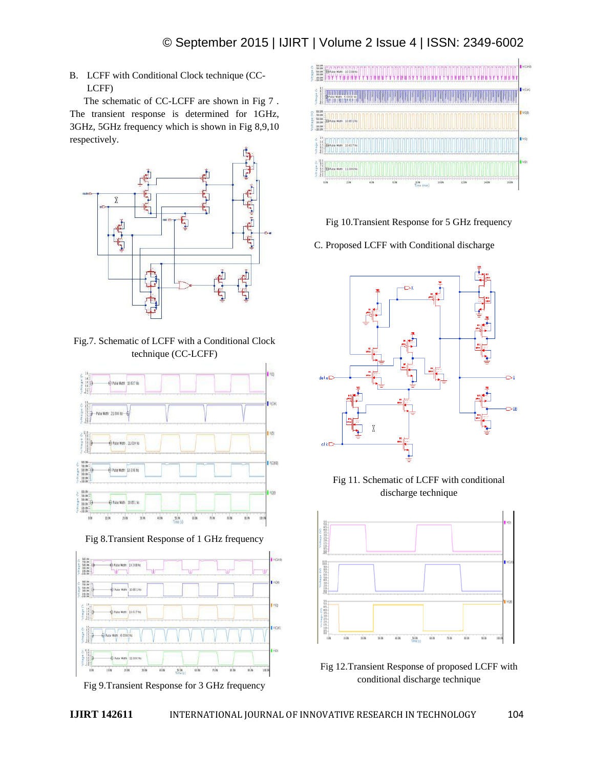B. LCFF with Conditional Clock technique (CC-LCFF)

The schematic of CC-LCFF are shown in Fig 7 . The transient response is determined for 1GHz, 3GHz, 5GHz frequency which is shown in Fig 8,9,10 respectively.



Fig.7. Schematic of LCFF with a Conditional Clock technique (CC-LCFF)



Fig 8.Transient Response of 1 GHz frequency





Fig 10.Transient Response for 5 GHz frequency

C. Proposed LCFF with Conditional discharge



Fig 11. Schematic of LCFF with conditional discharge technique



Fig 12.Transient Response of proposed LCFF with conditional discharge technique